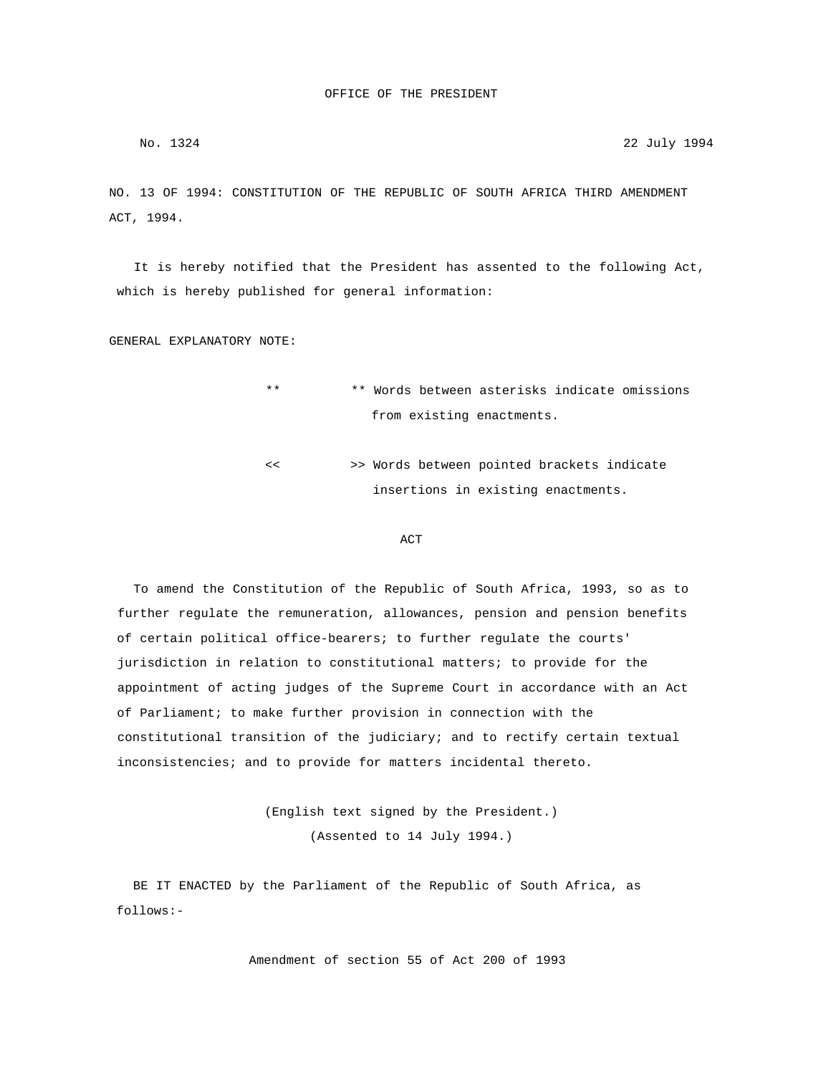NO. 13 OF 1994: CONSTITUTION OF THE REPUBLIC OF SOUTH AFRICA THIRD AMENDMENT ACT, 1994.

 It is hereby notified that the President has assented to the following Act, which is hereby published for general information:

GENERAL EXPLANATORY NOTE:

- \*\* \*\* Words between asterisks indicate omissions from existing enactments.
- << >> Words between pointed brackets indicate insertions in existing enactments.

### **ACT**

 To amend the Constitution of the Republic of South Africa, 1993, so as to further regulate the remuneration, allowances, pension and pension benefits of certain political office-bearers; to further regulate the courts' jurisdiction in relation to constitutional matters; to provide for the appointment of acting judges of the Supreme Court in accordance with an Act of Parliament; to make further provision in connection with the constitutional transition of the judiciary; and to rectify certain textual inconsistencies; and to provide for matters incidental thereto.

> (English text signed by the President.) (Assented to 14 July 1994.)

 BE IT ENACTED by the Parliament of the Republic of South Africa, as follows:-

Amendment of section 55 of Act 200 of 1993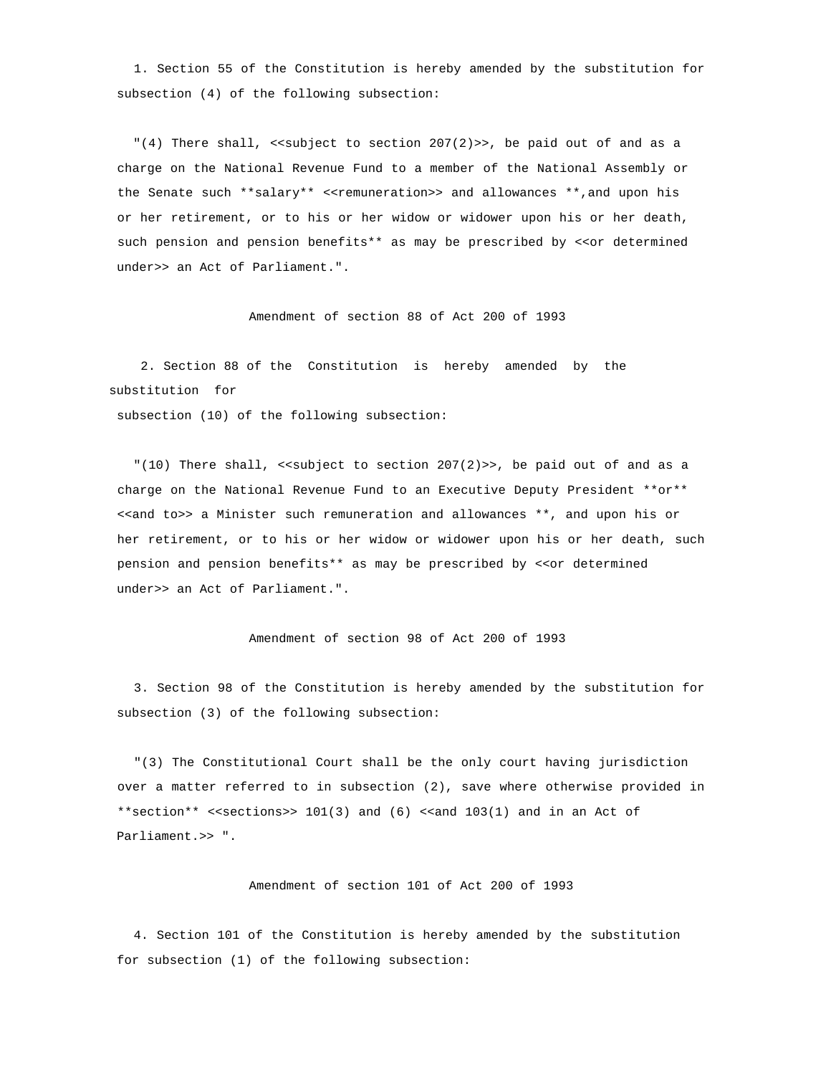1. Section 55 of the Constitution is hereby amended by the substitution for subsection (4) of the following subsection:

"(4) There shall, << subject to section  $207(2)$ >>, be paid out of and as a charge on the National Revenue Fund to a member of the National Assembly or the Senate such \*\*salary\*\* <<remuneration>> and allowances \*\*,and upon his or her retirement, or to his or her widow or widower upon his or her death, such pension and pension benefits\*\* as may be prescribed by <<or determined under>> an Act of Parliament.".

Amendment of section 88 of Act 200 of 1993

 2. Section 88 of the Constitution is hereby amended by the substitution for

subsection (10) of the following subsection:

"(10) There shall, << subject to section  $207(2)$ >>, be paid out of and as a charge on the National Revenue Fund to an Executive Deputy President \*\*or\*\* <<and to>> a Minister such remuneration and allowances \*\*, and upon his or her retirement, or to his or her widow or widower upon his or her death, such pension and pension benefits\*\* as may be prescribed by <<or determined under>> an Act of Parliament.".

Amendment of section 98 of Act 200 of 1993

 3. Section 98 of the Constitution is hereby amended by the substitution for subsection (3) of the following subsection:

 "(3) The Constitutional Court shall be the only court having jurisdiction over a matter referred to in subsection (2), save where otherwise provided in \*\*section\*\* <<sections>> 101(3) and (6) <<and 103(1) and in an Act of Parliament.>> ".

Amendment of section 101 of Act 200 of 1993

 4. Section 101 of the Constitution is hereby amended by the substitution for subsection (1) of the following subsection: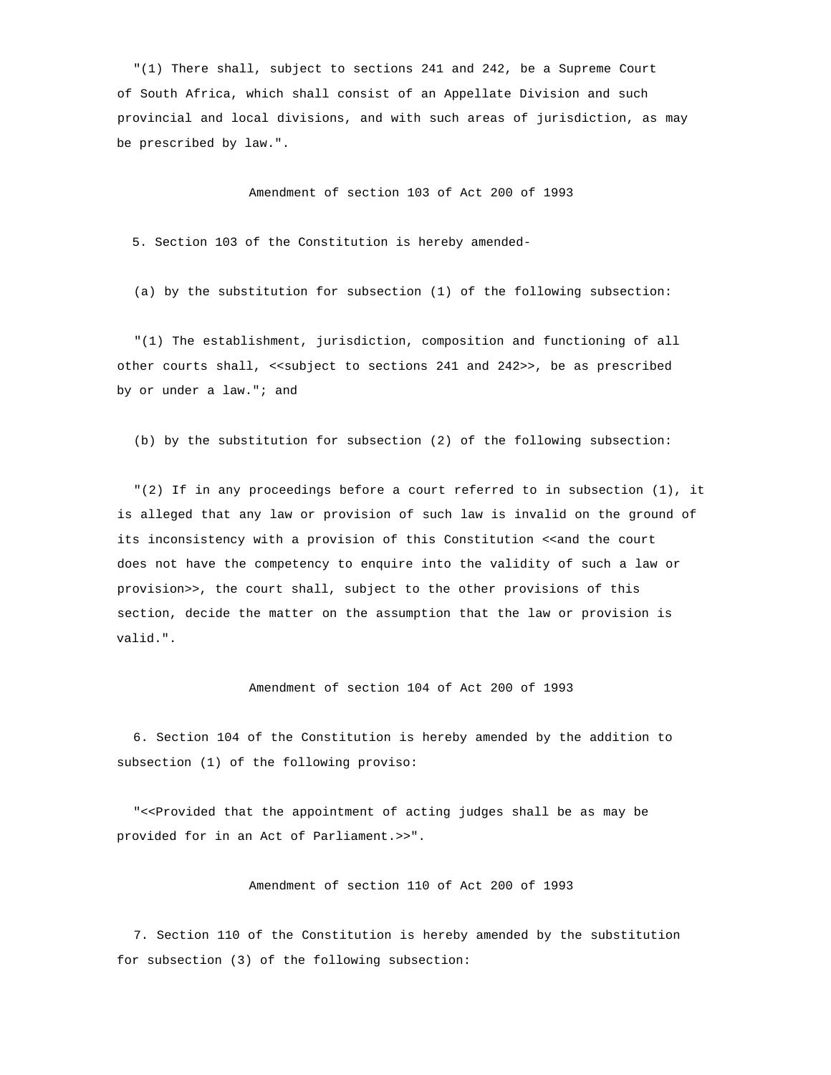"(1) There shall, subject to sections 241 and 242, be a Supreme Court of South Africa, which shall consist of an Appellate Division and such provincial and local divisions, and with such areas of jurisdiction, as may be prescribed by law.".

Amendment of section 103 of Act 200 of 1993

5. Section 103 of the Constitution is hereby amended-

(a) by the substitution for subsection (1) of the following subsection:

 "(1) The establishment, jurisdiction, composition and functioning of all other courts shall, << subject to sections 241 and 242>>, be as prescribed by or under a law."; and

(b) by the substitution for subsection (2) of the following subsection:

 "(2) If in any proceedings before a court referred to in subsection (1), it is alleged that any law or provision of such law is invalid on the ground of its inconsistency with a provision of this Constitution <<and the court does not have the competency to enquire into the validity of such a law or provision>>, the court shall, subject to the other provisions of this section, decide the matter on the assumption that the law or provision is valid.".

# Amendment of section 104 of Act 200 of 1993

 6. Section 104 of the Constitution is hereby amended by the addition to subsection (1) of the following proviso:

 "<<Provided that the appointment of acting judges shall be as may be provided for in an Act of Parliament.>>".

Amendment of section 110 of Act 200 of 1993

 7. Section 110 of the Constitution is hereby amended by the substitution for subsection (3) of the following subsection: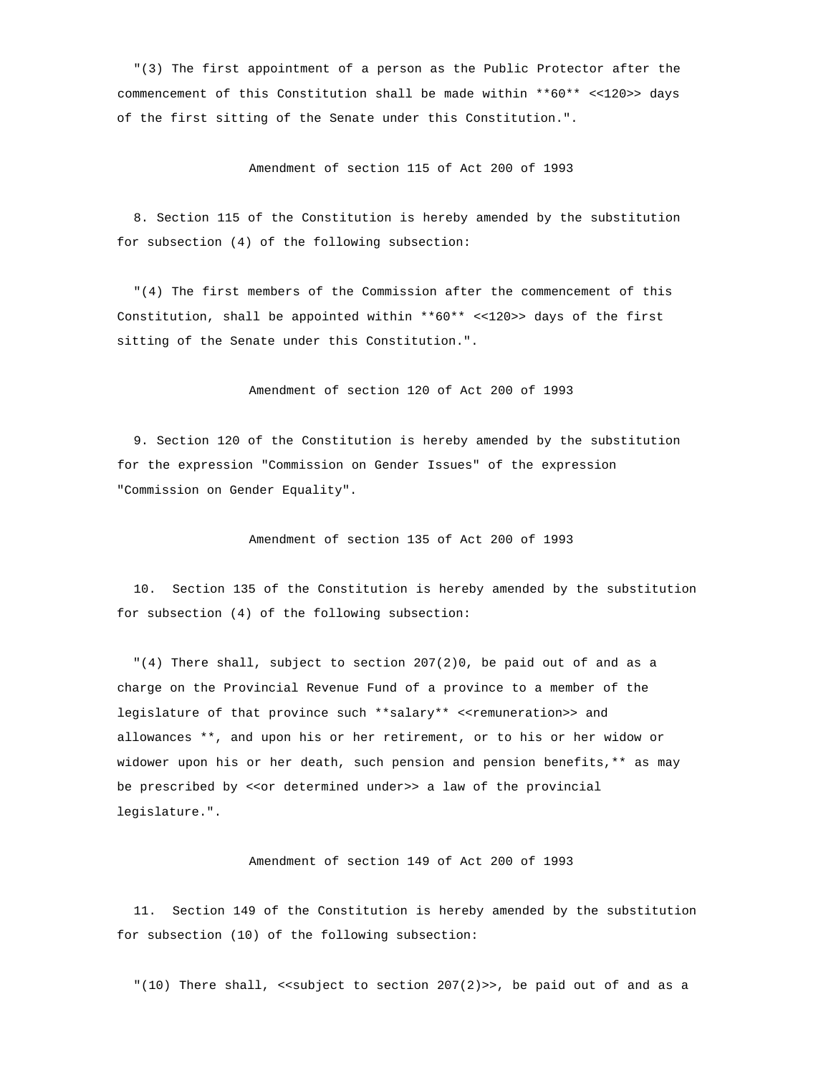"(3) The first appointment of a person as the Public Protector after the commencement of this Constitution shall be made within \*\*60\*\* <<120>> days of the first sitting of the Senate under this Constitution.".

### Amendment of section 115 of Act 200 of 1993

 8. Section 115 of the Constitution is hereby amended by the substitution for subsection (4) of the following subsection:

 "(4) The first members of the Commission after the commencement of this Constitution, shall be appointed within \*\*60\*\* <<120>> days of the first sitting of the Senate under this Constitution.".

Amendment of section 120 of Act 200 of 1993

 9. Section 120 of the Constitution is hereby amended by the substitution for the expression "Commission on Gender Issues" of the expression "Commission on Gender Equality".

Amendment of section 135 of Act 200 of 1993

 10. Section 135 of the Constitution is hereby amended by the substitution for subsection (4) of the following subsection:

"(4) There shall, subject to section  $207(2)0$ , be paid out of and as a charge on the Provincial Revenue Fund of a province to a member of the legislature of that province such \*\*salary\*\* <<remuneration>> and allowances \*\*, and upon his or her retirement, or to his or her widow or widower upon his or her death, such pension and pension benefits,\*\* as may be prescribed by << or determined under>> a law of the provincial legislature.".

Amendment of section 149 of Act 200 of 1993

 11. Section 149 of the Constitution is hereby amended by the substitution for subsection (10) of the following subsection:

 $"(10)$  There shall, << subject to section 207(2)>>, be paid out of and as a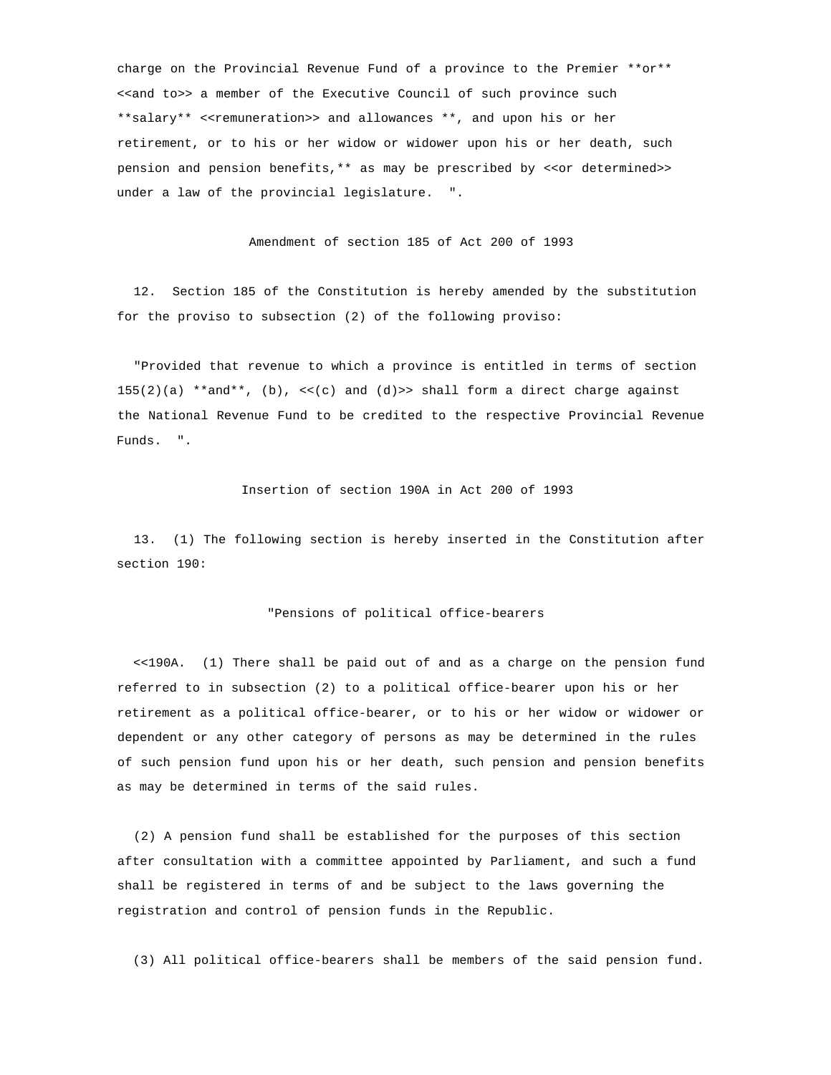charge on the Provincial Revenue Fund of a province to the Premier \*\*or\*\* <<and to>> a member of the Executive Council of such province such \*\*salary\*\* <<remuneration>> and allowances \*\*, and upon his or her retirement, or to his or her widow or widower upon his or her death, such pension and pension benefits, \*\* as may be prescribed by <<or determined>> under a law of the provincial legislature. ".

Amendment of section 185 of Act 200 of 1993

 12. Section 185 of the Constitution is hereby amended by the substitution for the proviso to subsection (2) of the following proviso:

 "Provided that revenue to which a province is entitled in terms of section 155(2)(a) \*\*and\*\*, (b),  $\langle \langle c \rangle$  and (d) >> shall form a direct charge against the National Revenue Fund to be credited to the respective Provincial Revenue Funds. ".

Insertion of section 190A in Act 200 of 1993

 13. (1) The following section is hereby inserted in the Constitution after section 190:

## "Pensions of political office-bearers

 <<190A. (1) There shall be paid out of and as a charge on the pension fund referred to in subsection (2) to a political office-bearer upon his or her retirement as a political office-bearer, or to his or her widow or widower or dependent or any other category of persons as may be determined in the rules of such pension fund upon his or her death, such pension and pension benefits as may be determined in terms of the said rules.

 (2) A pension fund shall be established for the purposes of this section after consultation with a committee appointed by Parliament, and such a fund shall be registered in terms of and be subject to the laws governing the registration and control of pension funds in the Republic.

(3) All political office-bearers shall be members of the said pension fund.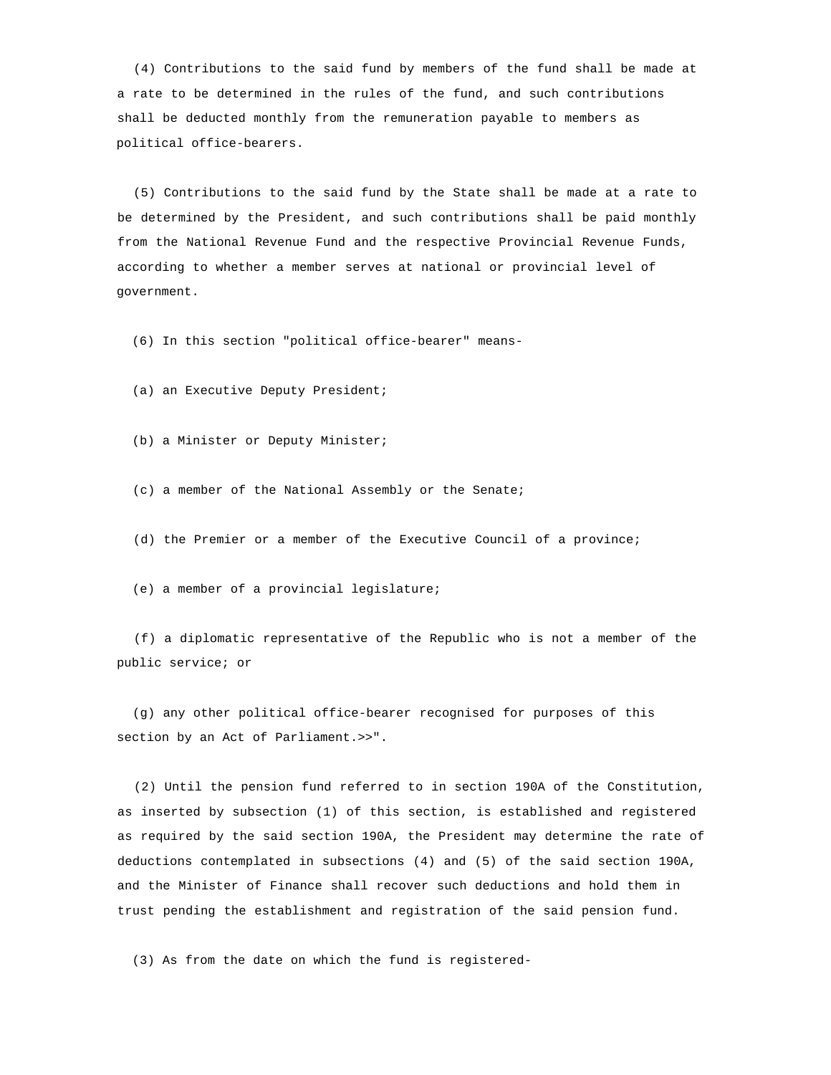(4) Contributions to the said fund by members of the fund shall be made at a rate to be determined in the rules of the fund, and such contributions shall be deducted monthly from the remuneration payable to members as political office-bearers.

 (5) Contributions to the said fund by the State shall be made at a rate to be determined by the President, and such contributions shall be paid monthly from the National Revenue Fund and the respective Provincial Revenue Funds, according to whether a member serves at national or provincial level of government.

(6) In this section "political office-bearer" means-

(a) an Executive Deputy President;

(b) a Minister or Deputy Minister;

(c) a member of the National Assembly or the Senate;

(d) the Premier or a member of the Executive Council of a province;

(e) a member of a provincial legislature;

 (f) a diplomatic representative of the Republic who is not a member of the public service; or

 (g) any other political office-bearer recognised for purposes of this section by an Act of Parliament.>>".

 (2) Until the pension fund referred to in section 190A of the Constitution, as inserted by subsection (1) of this section, is established and registered as required by the said section 190A, the President may determine the rate of deductions contemplated in subsections (4) and (5) of the said section 190A, and the Minister of Finance shall recover such deductions and hold them in trust pending the establishment and registration of the said pension fund.

(3) As from the date on which the fund is registered-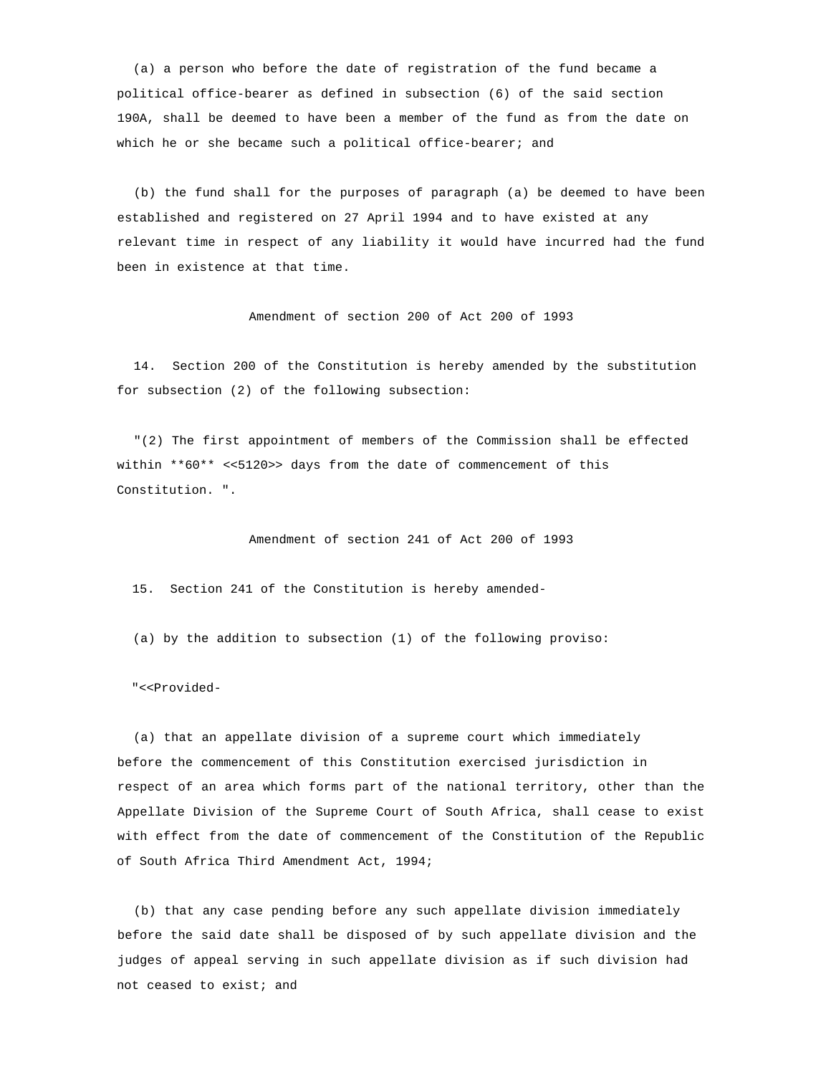(a) a person who before the date of registration of the fund became a political office-bearer as defined in subsection (6) of the said section 190A, shall be deemed to have been a member of the fund as from the date on which he or she became such a political office-bearer; and

 (b) the fund shall for the purposes of paragraph (a) be deemed to have been established and registered on 27 April 1994 and to have existed at any relevant time in respect of any liability it would have incurred had the fund been in existence at that time.

Amendment of section 200 of Act 200 of 1993

 14. Section 200 of the Constitution is hereby amended by the substitution for subsection (2) of the following subsection:

 "(2) The first appointment of members of the Commission shall be effected within \*\*60\*\* <<5120>> days from the date of commencement of this Constitution. ".

Amendment of section 241 of Act 200 of 1993

15. Section 241 of the Constitution is hereby amended-

(a) by the addition to subsection (1) of the following proviso:

"<<Provided-

 (a) that an appellate division of a supreme court which immediately before the commencement of this Constitution exercised jurisdiction in respect of an area which forms part of the national territory, other than the Appellate Division of the Supreme Court of South Africa, shall cease to exist with effect from the date of commencement of the Constitution of the Republic of South Africa Third Amendment Act, 1994;

 (b) that any case pending before any such appellate division immediately before the said date shall be disposed of by such appellate division and the judges of appeal serving in such appellate division as if such division had not ceased to exist; and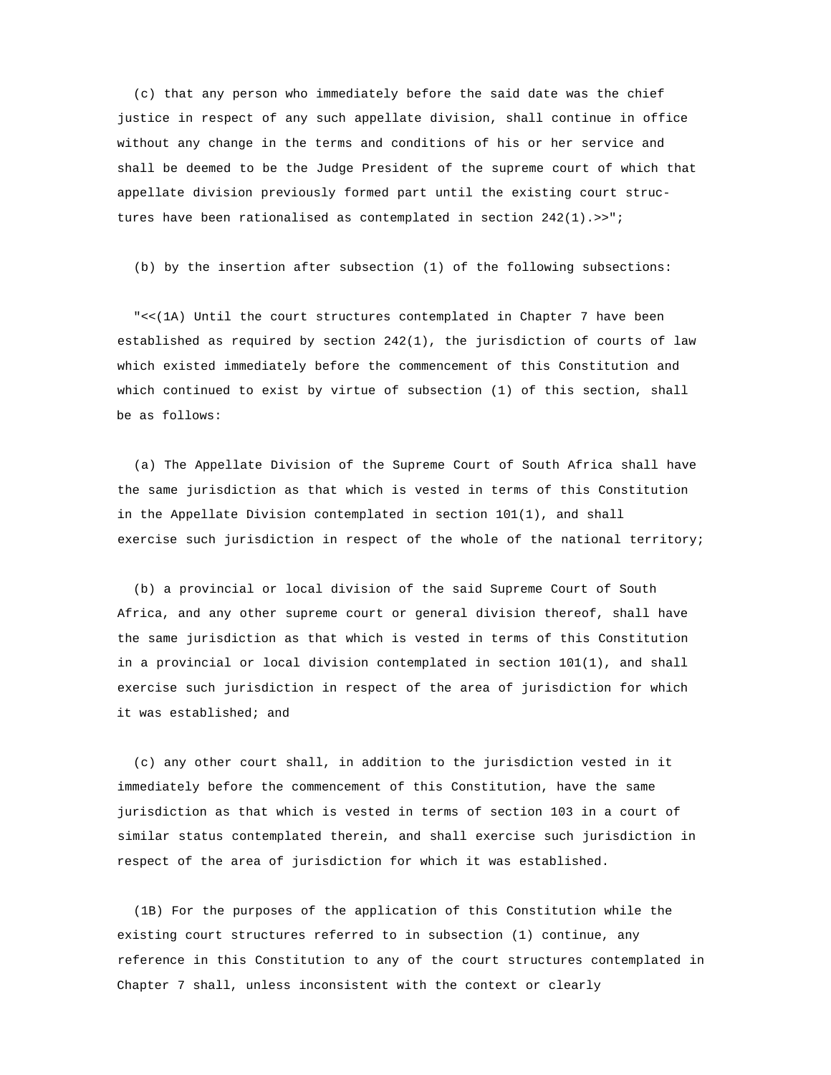(c) that any person who immediately before the said date was the chief justice in respect of any such appellate division, shall continue in office without any change in the terms and conditions of his or her service and shall be deemed to be the Judge President of the supreme court of which that appellate division previously formed part until the existing court struc tures have been rationalised as contemplated in section 242(1).>>";

(b) by the insertion after subsection (1) of the following subsections:

 "<<(1A) Until the court structures contemplated in Chapter 7 have been established as required by section 242(1), the jurisdiction of courts of law which existed immediately before the commencement of this Constitution and which continued to exist by virtue of subsection (1) of this section, shall be as follows:

 (a) The Appellate Division of the Supreme Court of South Africa shall have the same jurisdiction as that which is vested in terms of this Constitution in the Appellate Division contemplated in section 101(1), and shall exercise such jurisdiction in respect of the whole of the national territory;

 (b) a provincial or local division of the said Supreme Court of South Africa, and any other supreme court or general division thereof, shall have the same jurisdiction as that which is vested in terms of this Constitution in a provincial or local division contemplated in section 101(1), and shall exercise such jurisdiction in respect of the area of jurisdiction for which it was established; and

 (c) any other court shall, in addition to the jurisdiction vested in it immediately before the commencement of this Constitution, have the same jurisdiction as that which is vested in terms of section 103 in a court of similar status contemplated therein, and shall exercise such jurisdiction in respect of the area of jurisdiction for which it was established.

 (1B) For the purposes of the application of this Constitution while the existing court structures referred to in subsection (1) continue, any reference in this Constitution to any of the court structures contemplated in Chapter 7 shall, unless inconsistent with the context or clearly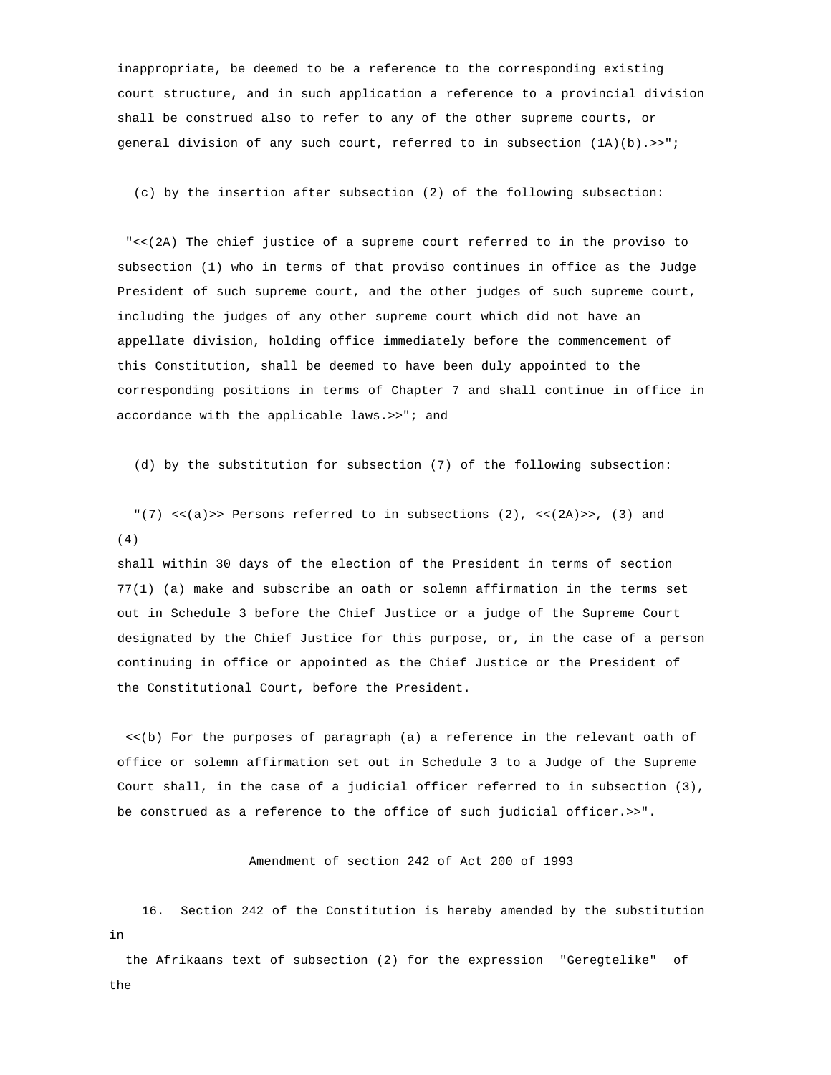inappropriate, be deemed to be a reference to the corresponding existing court structure, and in such application a reference to a provincial division shall be construed also to refer to any of the other supreme courts, or general division of any such court, referred to in subsection  $(1A)(b)$ . >>";

(c) by the insertion after subsection (2) of the following subsection:

 "<<(2A) The chief justice of a supreme court referred to in the proviso to subsection (1) who in terms of that proviso continues in office as the Judge President of such supreme court, and the other judges of such supreme court, including the judges of any other supreme court which did not have an appellate division, holding office immediately before the commencement of this Constitution, shall be deemed to have been duly appointed to the corresponding positions in terms of Chapter 7 and shall continue in office in accordance with the applicable laws.>>"; and

(d) by the substitution for subsection (7) of the following subsection:

"(7) <<(a)>> Persons referred to in subsections (2), <<(2A)>>, (3) and (4)

 shall within 30 days of the election of the President in terms of section 77(1) (a) make and subscribe an oath or solemn affirmation in the terms set out in Schedule 3 before the Chief Justice or a judge of the Supreme Court designated by the Chief Justice for this purpose, or, in the case of a person continuing in office or appointed as the Chief Justice or the President of the Constitutional Court, before the President.

 <<(b) For the purposes of paragraph (a) a reference in the relevant oath of office or solemn affirmation set out in Schedule 3 to a Judge of the Supreme Court shall, in the case of a judicial officer referred to in subsection (3), be construed as a reference to the office of such judicial officer.>>".

Amendment of section 242 of Act 200 of 1993

 16. Section 242 of the Constitution is hereby amended by the substitution in

 the Afrikaans text of subsection (2) for the expression "Geregtelike" of the